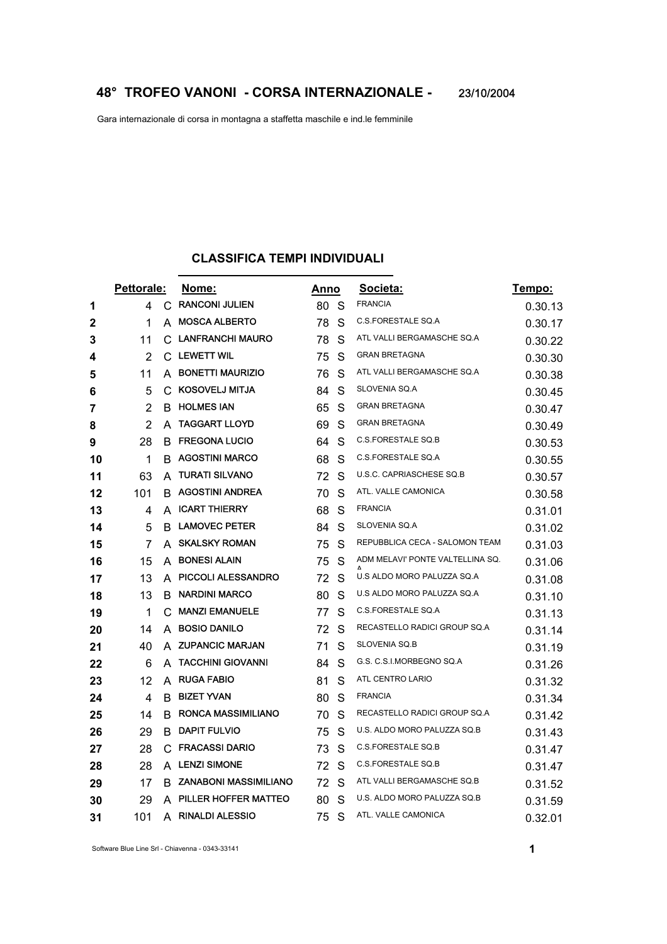Gara internazionale di corsa in montagna a staffetta maschile e ind.le femminile

## **CLASSIFICA TEMPI INDIVIDUALI**

|              | Pettorale:     |    | Nome:                        |    | Anno | Societa:                         | <u>Tempo:</u> |
|--------------|----------------|----|------------------------------|----|------|----------------------------------|---------------|
| 1            | 4              | C  | <b>RANCONI JULIEN</b>        | 80 | -S   | <b>FRANCIA</b>                   | 0.30.13       |
| $\mathbf{2}$ | 1              | A  | <b>MOSCA ALBERTO</b>         | 78 | S    | C.S.FORESTALE SQ.A               | 0.30.17       |
| 3            | 11             | C  | LANFRANCHI MAURO             | 78 | S    | ATL VALLI BERGAMASCHE SQ.A       | 0.30.22       |
| 4            | $\overline{2}$ | C  | <b>LEWETT WIL</b>            | 75 | S    | <b>GRAN BRETAGNA</b>             | 0.30.30       |
| 5            | 11             | A  | <b>BONETTI MAURIZIO</b>      | 76 | S    | ATL VALLI BERGAMASCHE SQ.A       | 0.30.38       |
| 6            | 5              | C  | <b>KOSOVELJ MITJA</b>        | 84 | S    | SLOVENIA SQ.A                    | 0.30.45       |
| 7            | $\overline{2}$ | B. | <b>HOLMES IAN</b>            | 65 | S    | <b>GRAN BRETAGNA</b>             | 0.30.47       |
| 8            | 2              | A  | <b>TAGGART LLOYD</b>         | 69 | S    | <b>GRAN BRETAGNA</b>             | 0.30.49       |
| 9            | 28             | B  | <b>FREGONA LUCIO</b>         | 64 | S    | C.S.FORESTALE SQ.B               | 0.30.53       |
| 10           | 1              | B  | <b>AGOSTINI MARCO</b>        | 68 | S    | C.S.FORESTALE SQ.A               | 0.30.55       |
| 11           | 63             | A  | <b>TURATI SILVANO</b>        | 72 | S    | U.S.C. CAPRIASCHESE SQ.B         | 0.30.57       |
| 12           | 101            | В  | <b>AGOSTINI ANDREA</b>       | 70 | S    | ATL. VALLE CAMONICA              | 0.30.58       |
| 13           | 4              | A  | <b>ICART THIERRY</b>         | 68 | S    | <b>FRANCIA</b>                   | 0.31.01       |
| 14           | 5              | B  | <b>LAMOVEC PETER</b>         | 84 | S    | SLOVENIA SQ.A                    | 0.31.02       |
| 15           | 7              | A  | <b>SKALSKY ROMAN</b>         | 75 | S    | REPUBBLICA CECA - SALOMON TEAM   | 0.31.03       |
| 16           | 15             | A  | <b>BONESI ALAIN</b>          | 75 | S    | ADM MELAVI' PONTE VALTELLINA SQ. | 0.31.06       |
| 17           | 13             |    | A PICCOLI ALESSANDRO         | 72 | S    | U.S ALDO MORO PALUZZA SQ.A       | 0.31.08       |
| 18           | 13             | B  | <b>NARDINI MARCO</b>         | 80 | S    | U.S ALDO MORO PALUZZA SQ.A       | 0.31.10       |
| 19           | 1              | C  | <b>MANZI EMANUELE</b>        | 77 | S    | C.S.FORESTALE SQ.A               | 0.31.13       |
| 20           | 14             | A  | <b>BOSIO DANILO</b>          | 72 | S    | RECASTELLO RADICI GROUP SQ.A     | 0.31.14       |
| 21           | 40             | A  | <b>ZUPANCIC MARJAN</b>       | 71 | S    | SLOVENIA SQ.B                    | 0.31.19       |
| 22           | 6              | A  | <b>TACCHINI GIOVANNI</b>     | 84 | S    | G.S. C.S.I.MORBEGNO SQ.A         | 0.31.26       |
| 23           | 12             | A  | <b>RUGA FABIO</b>            | 81 | S    | ATL CENTRO LARIO                 | 0.31.32       |
| 24           | 4              | B. | <b>BIZET YVAN</b>            | 80 | S    | <b>FRANCIA</b>                   | 0.31.34       |
| 25           | 14             | B  | <b>RONCA MASSIMILIANO</b>    | 70 | S    | RECASTELLO RADICI GROUP SQ.A     | 0.31.42       |
| 26           | 29             | B  | <b>DAPIT FULVIO</b>          | 75 | S    | U.S. ALDO MORO PALUZZA SQ.B      | 0.31.43       |
| 27           | 28             | С  | <b>FRACASSI DARIO</b>        | 73 | S    | C.S.FORESTALE SQ.B               | 0.31.47       |
| 28           | 28             |    | A LENZI SIMONE               | 72 | S    | C.S.FORESTALE SQ.B               | 0.31.47       |
| 29           | 17             | В  | <b>ZANABONI MASSIMILIANO</b> | 72 | S    | ATL VALLI BERGAMASCHE SQ.B       | 0.31.52       |
| 30           | 29             | A  | PILLER HOFFER MATTEO         | 80 | S    | U.S. ALDO MORO PALUZZA SQ.B      | 0.31.59       |
| 31           | 101            | A  | <b>RINALDI ALESSIO</b>       | 75 | S    | ATL. VALLE CAMONICA              | 0.32.01       |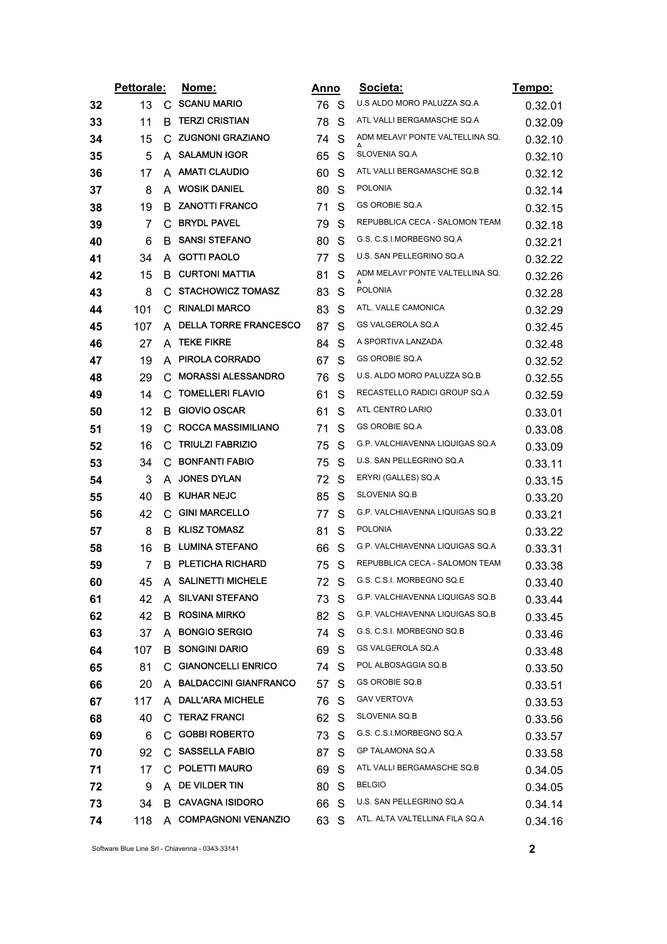|    | Pettorale: |    | <u>Nome:</u>              | <u>Anno</u> |              | Societa:                         | <u>Tempo:</u> |
|----|------------|----|---------------------------|-------------|--------------|----------------------------------|---------------|
| 32 | 13         | C. | <b>SCANU MARIO</b>        | 76 S        |              | U.S ALDO MORO PALUZZA SQ.A       | 0.32.01       |
| 33 | 11         | В  | <b>TERZI CRISTIAN</b>     | 78          | S            | ATL VALLI BERGAMASCHE SQ.A       | 0.32.09       |
| 34 | 15         | C  | <b>ZUGNONI GRAZIANO</b>   | 74          | S            | ADM MELAVI' PONTE VALTELLINA SQ. | 0.32.10       |
| 35 | 5          | A  | <b>SALAMUN IGOR</b>       | 65          | S            | SLOVENIA SQ.A                    | 0.32.10       |
| 36 | 17         |    | A AMATI CLAUDIO           | 60          | S            | ATL VALLI BERGAMASCHE SQ.B       | 0.32.12       |
| 37 | 8          | A  | <b>WOSIK DANIEL</b>       | 80          | S            | <b>POLONIA</b>                   | 0.32.14       |
| 38 | 19         | B. | <b>ZANOTTI FRANCO</b>     | 71          | S            | GS OROBIE SQ.A                   | 0.32.15       |
| 39 | 7          |    | C BRYDL PAVEL             | 79          | S            | REPUBBLICA CECA - SALOMON TEAM   | 0.32.18       |
| 40 | 6          | B. | <b>SANSI STEFANO</b>      | 80          | S            | G.S. C.S.I.MORBEGNO SQ.A         | 0.32.21       |
| 41 | 34         |    | A GOTTI PAOLO             | 77          | S            | U.S. SAN PELLEGRINO SQ.A         | 0.32.22       |
| 42 | 15         | B  | <b>CURTONI MATTIA</b>     | 81          | S            | ADM MELAVI' PONTE VALTELLINA SQ. | 0.32.26       |
| 43 | 8          |    | C STACHOWICZ TOMASZ       | 83          | S            | <b>POLONIA</b>                   | 0.32.28       |
| 44 | 101        |    | C RINALDI MARCO           | 83          | S            | ATL. VALLE CAMONICA              | 0.32.29       |
| 45 | 107        |    | A DELLA TORRE FRANCESCO   | 87          | S            | GS VALGEROLA SQ.A                | 0.32.45       |
| 46 | 27         | A  | <b>TEKE FIKRE</b>         | 84          | S            | A SPORTIVA LANZADA               | 0.32.48       |
| 47 | 19         |    | A PIROLA CORRADO          | 67          | S            | <b>GS OROBIE SQ.A</b>            | 0.32.52       |
| 48 | 29         | C  | <b>MORASSI ALESSANDRO</b> | 76          | S            | U.S. ALDO MORO PALUZZA SQ.B      | 0.32.55       |
| 49 | 14         | C  | <b>TOMELLERI FLAVIO</b>   | 61          | S            | RECASTELLO RADICI GROUP SQ.A     | 0.32.59       |
| 50 | 12         | В. | <b>GIOVIO OSCAR</b>       | 61          | S            | ATL CENTRO LARIO                 | 0.33.01       |
| 51 | 19         | C  | <b>ROCCA MASSIMILIANO</b> | 71          | S            | GS OROBIE SQ.A                   | 0.33.08       |
| 52 | 16         | C. | <b>TRIULZI FABRIZIO</b>   | 75          | S            | G.P. VALCHIAVENNA LIQUIGAS SQ.A  | 0.33.09       |
| 53 | 34         | C  | <b>BONFANTI FABIO</b>     | 75          | S            | U.S. SAN PELLEGRINO SQ.A         | 0.33.11       |
| 54 | 3          |    | A JONES DYLAN             | 72          | S            | ERYRI (GALLES) SQ.A              | 0.33.15       |
| 55 | 40         | В  | <b>KUHAR NEJC</b>         | 85          | S            | SLOVENIA SQ.B                    | 0.33.20       |
| 56 | 42         |    | C GINI MARCELLO           | 77          | S            | G.P. VALCHIAVENNA LIQUIGAS SQ.B  | 0.33.21       |
| 57 | 8          | B. | <b>KLISZ TOMASZ</b>       | 81          | S            | <b>POLONIA</b>                   | 0.33.22       |
| 58 | 16         | B. | LUMINA STEFANO            | 66          | S            | G.P. VALCHIAVENNA LIQUIGAS SQ.A  | 0.33.31       |
| 59 | 7          | B. | <b>PLETICHA RICHARD</b>   | 75          | S            | REPUBBLICA CECA - SALOMON TEAM   | 0.33.38       |
| 60 | 45         |    | A SALINETTI MICHELE       | 72          | S            | G.S. C.S.I. MORBEGNO SQ.E        | 0.33.40       |
| 61 | 42         |    | A SILVANI STEFANO         | 73 S        |              | G.P. VALCHIAVENNA LIQUIGAS SQ.B  | 0.33.44       |
| 62 | 42         | В. | <b>ROSINA MIRKO</b>       | 82          | - S          | G.P. VALCHIAVENNA LIQUIGAS SQ.B  | 0.33.45       |
| 63 | 37         | A  | <b>BONGIO SERGIO</b>      | 74 S        |              | G.S. C.S.I. MORBEGNO SQ.B        | 0.33.46       |
| 64 | 107        |    | <b>B</b> SONGINI DARIO    | 69          | -S           | GS VALGEROLA SQ.A                | 0.33.48       |
| 65 | 81         |    | C GIANONCELLI ENRICO      | 74          | <sub>S</sub> | POL ALBOSAGGIA SQ.B              | 0.33.50       |
| 66 | 20         |    | A BALDACCINI GIANFRANCO   | 57          | S            | GS OROBIE SQ.B                   | 0.33.51       |
| 67 | 117        |    | A DALL'ARA MICHELE        | 76          | <sub>S</sub> | <b>GAV VERTOVA</b>               | 0.33.53       |
| 68 | 40         | C. | <b>TERAZ FRANCI</b>       | 62 S        |              | SLOVENIA SQ.B                    | 0.33.56       |
| 69 | 6          |    | C GOBBI ROBERTO           | 73          | -S           | G.S. C.S.I.MORBEGNO SQ.A         | 0.33.57       |
| 70 | 92         |    | C SASSELLA FABIO          | 87          | S            | GP TALAMONA SQ.A                 | 0.33.58       |
| 71 | 17         |    | C. POLETTI MAURO          | 69          | - S          | ATL VALLI BERGAMASCHE SQ.B       | 0.34.05       |
| 72 | 9          |    | A DE VILDER TIN           | 80          | S            | <b>BELGIO</b>                    | 0.34.05       |
| 73 | 34         |    | <b>B</b> CAVAGNA ISIDORO  | 66          | -S           | U.S. SAN PELLEGRINO SQ.A         | 0.34.14       |
| 74 | 118        |    | A COMPAGNONI VENANZIO     | 63 S        |              | ATL. ALTA VALTELLINA FILA SQ.A   | 0.34.16       |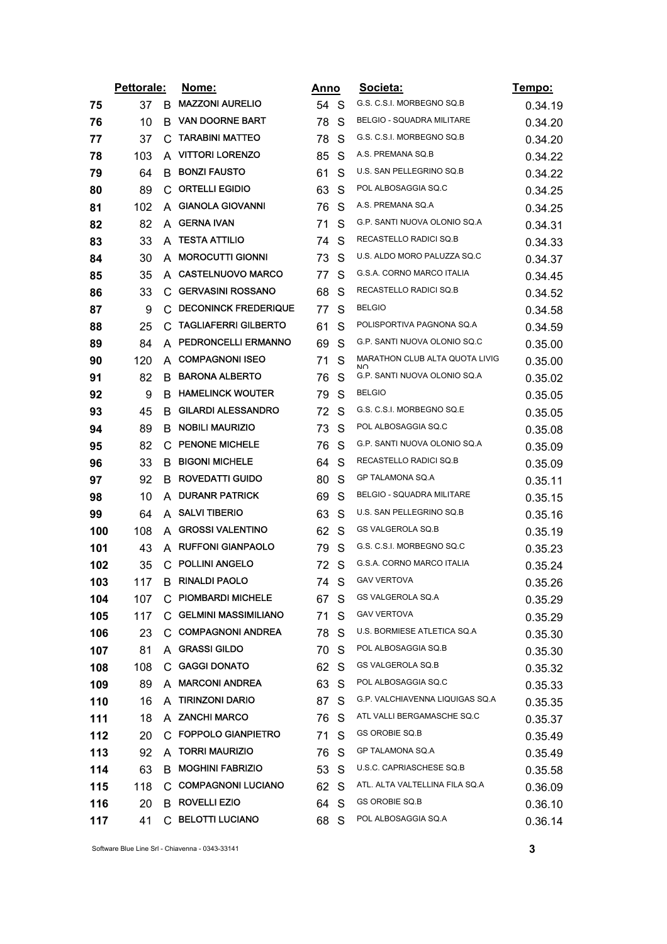|     | Pettorale:<br>Nome: |    |                             | Anno |              | Societa:                                                 | Tempo:  |
|-----|---------------------|----|-----------------------------|------|--------------|----------------------------------------------------------|---------|
| 75  | 37                  | B  | <b>MAZZONI AURELIO</b>      | 54 S |              | G.S. C.S.I. MORBEGNO SQ.B                                | 0.34.19 |
| 76  | 10                  | B  | <b>VAN DOORNE BART</b>      | 78   | S            | BELGIO - SQUADRA MILITARE                                | 0.34.20 |
| 77  | 37                  | С  | <b>TARABINI MATTEO</b>      | 78   | S            | G.S. C.S.I. MORBEGNO SQ.B                                | 0.34.20 |
| 78  | 103                 | A  | <b>VITTORI LORENZO</b>      | 85   | S            | A.S. PREMANA SQ.B                                        | 0.34.22 |
| 79  | 64                  | B  | <b>BONZI FAUSTO</b>         | 61   | S            | U.S. SAN PELLEGRINO SQ.B                                 | 0.34.22 |
| 80  | 89                  |    | C ORTELLI EGIDIO            | 63   | S            | POL ALBOSAGGIA SQ.C                                      | 0.34.25 |
| 81  | 102                 | A  | <b>GIANOLA GIOVANNI</b>     | 76   | S            | A.S. PREMANA SQ.A                                        | 0.34.25 |
| 82  | 82                  | A  | <b>GERNA IVAN</b>           | 71   | S            | G.P. SANTI NUOVA OLONIO SQ.A                             | 0.34.31 |
| 83  | 33                  | A  | <b>TESTA ATTILIO</b>        | 74   | S            | RECASTELLO RADICI SQ.B                                   | 0.34.33 |
| 84  | 30                  | A  | <b>MOROCUTTI GIONNI</b>     | 73   | S            | U.S. ALDO MORO PALUZZA SQ.C                              | 0.34.37 |
| 85  | 35                  | A  | <b>CASTELNUOVO MARCO</b>    | 77   | S            | G.S.A. CORNO MARCO ITALIA                                | 0.34.45 |
| 86  | 33                  |    | C GERVASINI ROSSANO         | 68   | S            | RECASTELLO RADICI SQ.B                                   | 0.34.52 |
| 87  | 9                   | C  | <b>DECONINCK FREDERIQUE</b> | 77   | S            | <b>BELGIO</b>                                            | 0.34.58 |
| 88  | 25                  |    | C TAGLIAFERRI GILBERTO      | 61   | S            | POLISPORTIVA PAGNONA SQ.A                                | 0.34.59 |
| 89  | 84                  | A  | PEDRONCELLI ERMANNO         | 69   | S            | G.P. SANTI NUOVA OLONIO SQ.C                             | 0.35.00 |
| 90  | 120                 |    | A COMPAGNONI ISEO           | 71   | S            | MARATHON CLUB ALTA QUOTA LIVIG<br>$\mathsf{N}\mathsf{C}$ | 0.35.00 |
| 91  | 82                  | B  | <b>BARONA ALBERTO</b>       | 76   | S            | G.P. SANTI NUOVA OLONIO SQ.A                             | 0.35.02 |
| 92  | 9                   | B  | <b>HAMELINCK WOUTER</b>     | 79   | S            | <b>BELGIO</b>                                            | 0.35.05 |
| 93  | 45                  | B. | <b>GILARDI ALESSANDRO</b>   | 72   | S            | G.S. C.S.I. MORBEGNO SQ.E                                | 0.35.05 |
| 94  | 89                  | B  | NOBILI MAURIZIO             | 73   | S            | POL ALBOSAGGIA SQ.C                                      | 0.35.08 |
| 95  | 82                  | С  | <b>PENONE MICHELE</b>       | 76   | S            | G.P. SANTI NUOVA OLONIO SQ.A                             | 0.35.09 |
| 96  | 33                  | B  | <b>BIGONI MICHELE</b>       | 64   | S            | RECASTELLO RADICI SQ.B                                   | 0.35.09 |
| 97  | 92                  | B. | ROVEDATTI GUIDO             | 80   | S            | GP TALAMONA SQ.A                                         | 0.35.11 |
| 98  | 10                  | A  | <b>DURANR PATRICK</b>       | 69   | S            | BELGIO - SQUADRA MILITARE                                | 0.35.15 |
| 99  | 64                  | A  | <b>SALVI TIBERIO</b>        | 63   | S            | U.S. SAN PELLEGRINO SQ.B                                 | 0.35.16 |
| 100 | 108                 | A  | <b>GROSSI VALENTINO</b>     | 62   | S            | GS VALGEROLA SQ.B                                        | 0.35.19 |
| 101 | 43                  | A  | <b>RUFFONI GIANPAOLO</b>    | 79   | S            | G.S. C.S.I. MORBEGNO SQ.C                                | 0.35.23 |
| 102 | 35                  | C  | <b>POLLINI ANGELO</b>       | 72 S |              | G.S.A. CORNO MARCO ITALIA                                | 0.35.24 |
| 103 | 117                 | B  | <b>RINALDI PAOLO</b>        | 74   | S            | <b>GAV VERTOVA</b>                                       | 0.35.26 |
| 104 | 107                 |    | C PIOMBARDI MICHELE         | 67   | S            | GS VALGEROLA SQ.A                                        | 0.35.29 |
| 105 | 117                 |    | C GELMINI MASSIMILIANO      | 71   | S            | <b>GAV VERTOVA</b>                                       | 0.35.29 |
| 106 | 23                  |    | C COMPAGNONI ANDREA         | 78   | S            | U.S. BORMIESE ATLETICA SQ.A                              | 0.35.30 |
| 107 | 81                  |    | A GRASSI GILDO              | 70 S |              | POL ALBOSAGGIA SQ.B                                      | 0.35.30 |
| 108 | 108                 |    | C GAGGI DONATO              | 62 S |              | GS VALGEROLA SQ.B                                        | 0.35.32 |
| 109 | 89                  | A  | <b>MARCONI ANDREA</b>       | 63 S |              | POL ALBOSAGGIA SQ.C                                      | 0.35.33 |
| 110 | 16                  |    | A TIRINZONI DARIO           | 87   | <sub>S</sub> | G.P. VALCHIAVENNA LIQUIGAS SQ.A                          | 0.35.35 |
| 111 | 18                  |    | A ZANCHI MARCO              | 76 S |              | ATL VALLI BERGAMASCHE SQ.C                               | 0.35.37 |
| 112 | 20                  |    | C FOPPOLO GIANPIETRO        | 71   | S            | <b>GS OROBIE SQ.B</b>                                    | 0.35.49 |
| 113 | 92                  |    | A TORRI MAURIZIO            | 76   | <sub>S</sub> | GP TALAMONA SQ.A                                         | 0.35.49 |
| 114 | 63                  | В  | <b>MOGHINI FABRIZIO</b>     | 53 S |              | U.S.C. CAPRIASCHESE SQ.B                                 | 0.35.58 |
| 115 | 118                 |    | C COMPAGNONI LUCIANO        | 62 S |              | ATL. ALTA VALTELLINA FILA SQ.A                           | 0.36.09 |
| 116 | 20                  |    | <b>B</b> ROVELLI EZIO       | 64 S |              | GS OROBIE SQ.B                                           | 0.36.10 |
| 117 | 41                  |    | C BELOTTI LUCIANO           | 68 S |              | POL ALBOSAGGIA SQ.A                                      | 0.36.14 |
|     |                     |    |                             |      |              |                                                          |         |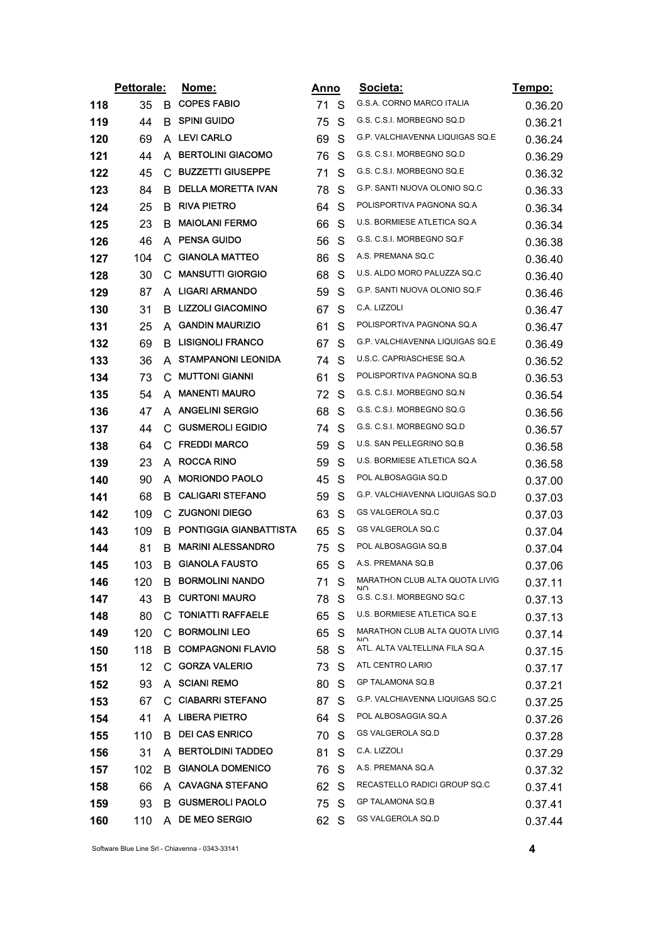|     | Pettorale: |    | <u>Nome:</u>               | <u>Anno</u> |              | Societa:                              | <u>Tempo:</u> |
|-----|------------|----|----------------------------|-------------|--------------|---------------------------------------|---------------|
| 118 | 35         | B. | <b>COPES FABIO</b>         | 71          | S            | G.S.A. CORNO MARCO ITALIA             | 0.36.20       |
| 119 | 44         | B  | <b>SPINI GUIDO</b>         | 75          | S            | G.S. C.S.I. MORBEGNO SQ.D             | 0.36.21       |
| 120 | 69         | A  | <b>LEVI CARLO</b>          | 69          | S            | G.P. VALCHIAVENNA LIQUIGAS SQ.E       | 0.36.24       |
| 121 | 44         | A  | <b>BERTOLINI GIACOMO</b>   | 76          | S            | G.S. C.S.I. MORBEGNO SQ.D             | 0.36.29       |
| 122 | 45         | C  | <b>BUZZETTI GIUSEPPE</b>   | 71          | S            | G.S. C.S.I. MORBEGNO SQ.E             | 0.36.32       |
| 123 | 84         | B  | <b>DELLA MORETTA IVAN</b>  | 78          | S            | G.P. SANTI NUOVA OLONIO SQ.C          | 0.36.33       |
| 124 | 25         | B  | <b>RIVA PIETRO</b>         | 64          | S            | POLISPORTIVA PAGNONA SQ.A             | 0.36.34       |
| 125 | 23         | B  | <b>MAIOLANI FERMO</b>      | 66          | S            | U.S. BORMIESE ATLETICA SQ.A           | 0.36.34       |
| 126 | 46         | A  | <b>PENSA GUIDO</b>         | 56          | S            | G.S. C.S.I. MORBEGNO SQ.F             | 0.36.38       |
| 127 | 104        | C. | <b>GIANOLA MATTEO</b>      | 86          | S            | A.S. PREMANA SQ.C                     | 0.36.40       |
| 128 | 30         | С  | <b>MANSUTTI GIORGIO</b>    | 68          | S            | U.S. ALDO MORO PALUZZA SQ.C           | 0.36.40       |
| 129 | 87         |    | A LIGARI ARMANDO           | 59          | S            | G.P. SANTI NUOVA OLONIO SQ.F          | 0.36.46       |
| 130 | 31         | B  | <b>LIZZOLI GIACOMINO</b>   | 67          | S            | C.A. LIZZOLI                          | 0.36.47       |
| 131 | 25         | A  | <b>GANDIN MAURIZIO</b>     | 61          | S            | POLISPORTIVA PAGNONA SQ.A             | 0.36.47       |
| 132 | 69         | B  | <b>LISIGNOLI FRANCO</b>    | 67          | S            | G.P. VALCHIAVENNA LIQUIGAS SQ.E       | 0.36.49       |
| 133 | 36         | A  | <b>STAMPANONI LEONIDA</b>  | 74          | S            | U.S.C. CAPRIASCHESE SQ.A              | 0.36.52       |
| 134 | 73         | C  | <b>MUTTONI GIANNI</b>      | 61          | S            | POLISPORTIVA PAGNONA SQ.B             | 0.36.53       |
| 135 | 54         | A  | <b>MANENTI MAURO</b>       | 72          | S            | G.S. C.S.I. MORBEGNO SQ.N             | 0.36.54       |
| 136 | 47         |    | A ANGELINI SERGIO          | 68          | S            | G.S. C.S.I. MORBEGNO SQ.G             | 0.36.56       |
| 137 | 44         | C  | <b>GUSMEROLI EGIDIO</b>    | 74          | S            | G.S. C.S.I. MORBEGNO SQ.D             | 0.36.57       |
| 138 | 64         | С  | <b>FREDDI MARCO</b>        | 59          | S            | U.S. SAN PELLEGRINO SQ.B              | 0.36.58       |
| 139 | 23         | A  | <b>ROCCA RINO</b>          | 59          | S            | U.S. BORMIESE ATLETICA SQ.A           | 0.36.58       |
| 140 | 90         | A  | <b>MORIONDO PAOLO</b>      | 45          | S            | POL ALBOSAGGIA SQ.D                   | 0.37.00       |
| 141 | 68         | В  | <b>CALIGARI STEFANO</b>    | 59          | S            | G.P. VALCHIAVENNA LIQUIGAS SQ.D       | 0.37.03       |
| 142 | 109        |    | C ZUGNONI DIEGO            | 63          | S            | GS VALGEROLA SQ.C                     | 0.37.03       |
| 143 | 109        | B. | PONTIGGIA GIANBATTISTA     | 65          | S            | GS VALGEROLA SQ.C                     | 0.37.04       |
| 144 | 81         | B  | <b>MARINI ALESSANDRO</b>   | 75          | S            | POL ALBOSAGGIA SQ.B                   | 0.37.04       |
| 145 | 103        | B  | <b>GIANOLA FAUSTO</b>      | 65          | S            | A.S. PREMANA SQ.B                     | 0.37.06       |
| 146 | 120        | B  | <b>BORMOLINI NANDO</b>     | 71          | S            | MARATHON CLUB ALTA QUOTA LIVIG<br>חוח | 0.37.11       |
| 147 | 43         |    | <b>B CURTONI MAURO</b>     | 78.         | S            | G.S. C.S.I. MORBEGNO SQ.C             | 0.37.13       |
| 148 | 80         |    | C TONIATTI RAFFAELE        | 65          | <sub>S</sub> | U.S. BORMIESE ATLETICA SQ.E           | 0.37.13       |
| 149 | 120        |    | C BORMOLINI LEO            | 65          | -S           | MARATHON CLUB ALTA QUOTA LIVIG        | 0.37.14       |
| 150 | 118        |    | <b>B</b> COMPAGNONI FLAVIO | 58          | S            | ATL. ALTA VALTELLINA FILA SQ.A        | 0.37.15       |
| 151 | 12         |    | C GORZA VALERIO            | 73          | S            | ATL CENTRO LARIO                      | 0.37.17       |
| 152 | 93         |    | A SCIANI REMO              | 80          | S            | GP TALAMONA SQ.B                      | 0.37.21       |
| 153 | 67         |    | C CIABARRI STEFANO         | 87          | S.           | G.P. VALCHIAVENNA LIQUIGAS SQ.C       | 0.37.25       |
| 154 | 41         |    | A LIBERA PIETRO            | 64 S        |              | POL ALBOSAGGIA SQ.A                   | 0.37.26       |
| 155 | 110        |    | <b>B</b> DEI CAS ENRICO    | 70          | S.           | GS VALGEROLA SQ.D                     | 0.37.28       |
| 156 | 31         |    | A BERTOLDINI TADDEO        | 81          | S            | C.A. LIZZOLI                          | 0.37.29       |
| 157 | 102        |    | <b>B</b> GIANOLA DOMENICO  | 76          | <sub>S</sub> | A.S. PREMANA SQ.A                     | 0.37.32       |
| 158 | 66         |    | A CAVAGNA STEFANO          | 62 S        |              | RECASTELLO RADICI GROUP SQ.C          | 0.37.41       |
| 159 | 93         |    | <b>B</b> GUSMEROLI PAOLO   | 75 S        |              | GP TALAMONA SQ.B                      | 0.37.41       |
| 160 | 110        |    | A DE MEO SERGIO            | 62 S        |              | GS VALGEROLA SQ.D                     | 0.37.44       |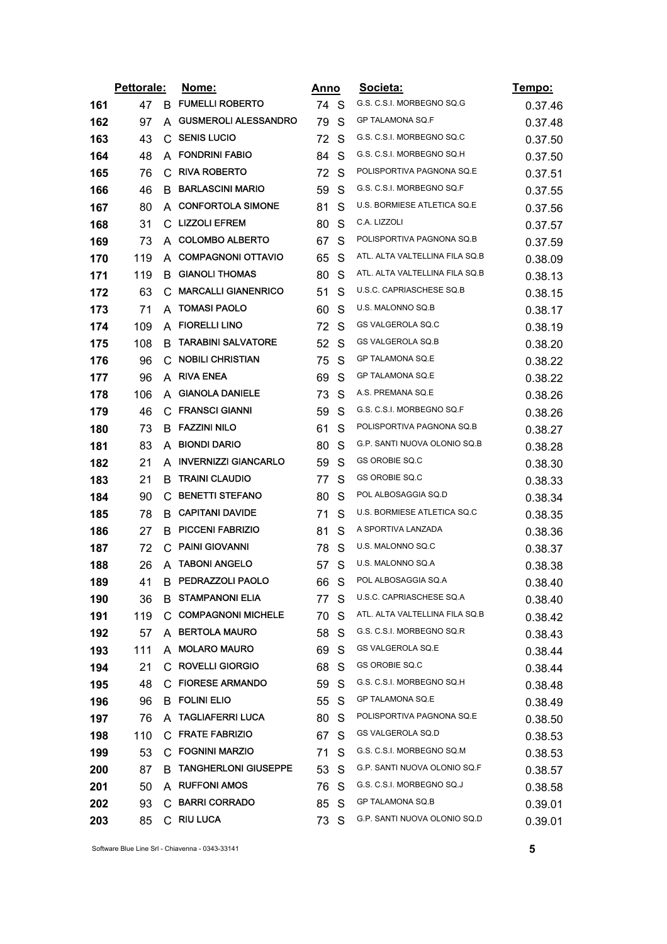|     | Pettorale: |    | <u>Nome:</u>                  | <u>Anno</u> |   | Societa:                       | Tempo:  |
|-----|------------|----|-------------------------------|-------------|---|--------------------------------|---------|
| 161 | 47         | B  | <b>FUMELLI ROBERTO</b>        | 74 S        |   | G.S. C.S.I. MORBEGNO SQ.G      | 0.37.46 |
| 162 | 97         | A  | <b>GUSMEROLI ALESSANDRO</b>   | 79          | S | GP TALAMONA SQ.F               | 0.37.48 |
| 163 | 43         | С  | <b>SENIS LUCIO</b>            | 72          | S | G.S. C.S.I. MORBEGNO SQ.C      | 0.37.50 |
| 164 | 48         | A  | <b>FONDRINI FABIO</b>         | 84          | S | G.S. C.S.I. MORBEGNO SQ.H      | 0.37.50 |
| 165 | 76         | C  | <b>RIVA ROBERTO</b>           | 72          | S | POLISPORTIVA PAGNONA SQ.E      | 0.37.51 |
| 166 | 46         | B. | <b>BARLASCINI MARIO</b>       | 59          | S | G.S. C.S.I. MORBEGNO SQ.F      | 0.37.55 |
| 167 | 80         | A  | <b>CONFORTOLA SIMONE</b>      | 81          | S | U.S. BORMIESE ATLETICA SQ.E    | 0.37.56 |
| 168 | 31         |    | C LIZZOLI EFREM               | 80          | S | C.A. LIZZOLI                   | 0.37.57 |
| 169 | 73         | A  | <b>COLOMBO ALBERTO</b>        | 67          | S | POLISPORTIVA PAGNONA SQ.B      | 0.37.59 |
| 170 | 119        | A  | <b>COMPAGNONI OTTAVIO</b>     | 65          | S | ATL. ALTA VALTELLINA FILA SQ.B | 0.38.09 |
| 171 | 119        | B  | <b>GIANOLI THOMAS</b>         | 80          | S | ATL. ALTA VALTELLINA FILA SQ.B | 0.38.13 |
| 172 | 63         | C  | <b>MARCALLI GIANENRICO</b>    | 51          | S | U.S.C. CAPRIASCHESE SQ.B       | 0.38.15 |
| 173 | 71         | A  | <b>TOMASI PAOLO</b>           | 60          | S | U.S. MALONNO SQ.B              | 0.38.17 |
| 174 | 109        | A  | <b>FIORELLI LINO</b>          | 72          | S | GS VALGEROLA SQ.C              | 0.38.19 |
| 175 | 108        | B  | <b>TARABINI SALVATORE</b>     | 52          | S | GS VALGEROLA SQ.B              | 0.38.20 |
| 176 | 96         | С  | <b>NOBILI CHRISTIAN</b>       | 75          | S | GP TALAMONA SQ.E               | 0.38.22 |
| 177 | 96         | A  | <b>RIVA ENEA</b>              | 69          | S | GP TALAMONA SQ.E               | 0.38.22 |
| 178 | 106        | A  | <b>GIANOLA DANIELE</b>        | 73          | S | A.S. PREMANA SQ.E              | 0.38.26 |
| 179 | 46         | C. | <b>FRANSCI GIANNI</b>         | 59          | S | G.S. C.S.I. MORBEGNO SQ.F      | 0.38.26 |
| 180 | 73         | В  | <b>FAZZINI NILO</b>           | 61          | S | POLISPORTIVA PAGNONA SQ.B      | 0.38.27 |
| 181 | 83         | A  | <b>BIONDI DARIO</b>           | 80          | S | G.P. SANTI NUOVA OLONIO SQ.B   | 0.38.28 |
| 182 | 21         | A  | <b>INVERNIZZI GIANCARLO</b>   | 59          | S | GS OROBIE SQ.C                 | 0.38.30 |
| 183 | 21         | B. | <b>TRAINI CLAUDIO</b>         | 77          | S | GS OROBIE SQ.C                 | 0.38.33 |
| 184 | 90         | C  | <b>BENETTI STEFANO</b>        | 80          | S | POL ALBOSAGGIA SQ.D            | 0.38.34 |
| 185 | 78         | В  | <b>CAPITANI DAVIDE</b>        | 71          | S | U.S. BORMIESE ATLETICA SQ.C    | 0.38.35 |
| 186 | 27         | B  | <b>PICCENI FABRIZIO</b>       | 81          | S | A SPORTIVA LANZADA             | 0.38.36 |
| 187 | 72         | C  | <b>PAINI GIOVANNI</b>         | 78          | S | U.S. MALONNO SQ.C              | 0.38.37 |
| 188 | 26         |    | A TABONI ANGELO               | 57          | S | U.S. MALONNO SQ.A              | 0.38.38 |
| 189 | 41         | B  | PEDRAZZOLI PAOLO              | 66          | S | POL ALBOSAGGIA SQ.A            | 0.38.40 |
| 190 | 36         |    | <b>B STAMPANONI ELIA</b>      | 77          | S | U.S.C. CAPRIASCHESE SQ.A       | 0.38.40 |
| 191 | 119        | C. | <b>COMPAGNONI MICHELE</b>     | 70          | S | ATL. ALTA VALTELLINA FILA SQ.B | 0.38.42 |
| 192 | 57         |    | A BERTOLA MAURO               | 58          | S | G.S. C.S.I. MORBEGNO SQ.R      | 0.38.43 |
| 193 | 111        | A  | <b>MOLARO MAURO</b>           | 69          | S | <b>GS VALGEROLA SQ.E</b>       | 0.38.44 |
| 194 | 21         |    | C ROVELLI GIORGIO             | 68          | S | GS OROBIE SQ.C                 | 0.38.44 |
| 195 | 48         |    | C FIORESE ARMANDO             | 59          | S | G.S. C.S.I. MORBEGNO SQ.H      | 0.38.48 |
| 196 | 96         |    | <b>B FOLINI ELIO</b>          | 55          | S | GP TALAMONA SQ.E               | 0.38.49 |
| 197 | 76         |    | A TAGLIAFERRI LUCA            | 80          | S | POLISPORTIVA PAGNONA SQ.E      | 0.38.50 |
| 198 | 110        |    | C FRATE FABRIZIO              | 67          | S | GS VALGEROLA SQ.D              | 0.38.53 |
| 199 | 53         | C. | <b>FOGNINI MARZIO</b>         | 71          | S | G.S. C.S.I. MORBEGNO SQ.M      | 0.38.53 |
| 200 | 87         |    | <b>B TANGHERLONI GIUSEPPE</b> | 53          | S | G.P. SANTI NUOVA OLONIO SQ.F   | 0.38.57 |
| 201 | 50         |    | A RUFFONI AMOS                | 76          | S | G.S. C.S.I. MORBEGNO SQ.J      | 0.38.58 |
| 202 | 93         |    | C BARRI CORRADO               | 85 S        |   | GP TALAMONA SQ.B               | 0.39.01 |
| 203 | 85         |    | C RIU LUCA                    | 73          | S | G.P. SANTI NUOVA OLONIO SQ.D   | 0.39.01 |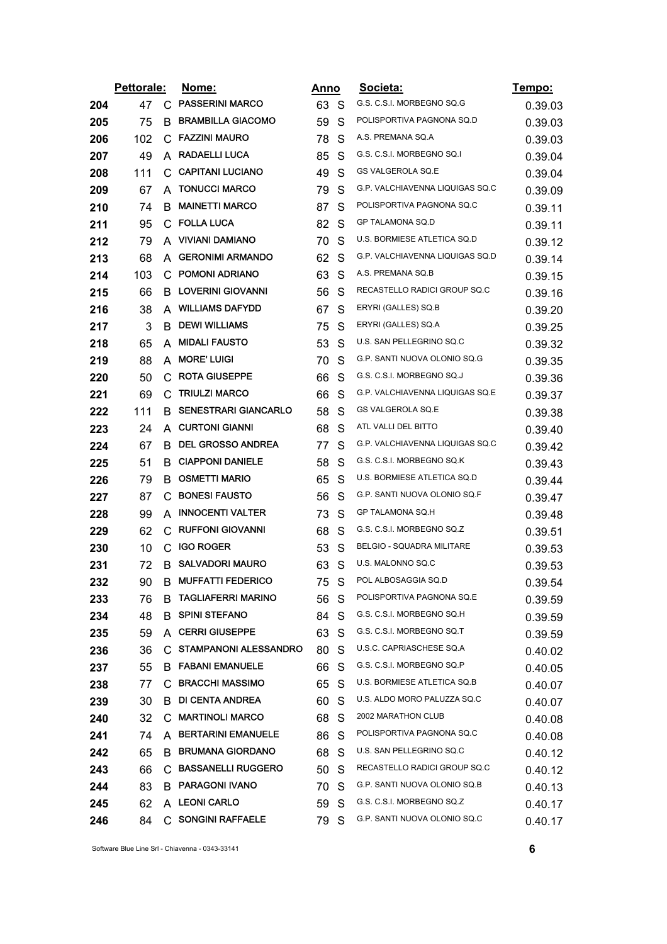|     | Pettorale: |    | <u>Nome:</u>                |      | Anno         | Societa:                        | Tempo:  |
|-----|------------|----|-----------------------------|------|--------------|---------------------------------|---------|
| 204 | 47         | C. | <b>PASSERINI MARCO</b>      | 63 S |              | G.S. C.S.I. MORBEGNO SQ.G       | 0.39.03 |
| 205 | 75         | B. | <b>BRAMBILLA GIACOMO</b>    | 59   | S            | POLISPORTIVA PAGNONA SQ.D       | 0.39.03 |
| 206 | 102        | C  | <b>FAZZINI MAURO</b>        | 78   | S            | A.S. PREMANA SQ.A               | 0.39.03 |
| 207 | 49         | A  | <b>RADAELLI LUCA</b>        | 85   | S            | G.S. C.S.I. MORBEGNO SQ.I       | 0.39.04 |
| 208 | 111        | C. | <b>CAPITANI LUCIANO</b>     | 49   | S            | GS VALGEROLA SQ.E               | 0.39.04 |
| 209 | 67         | A  | <b>TONUCCI MARCO</b>        | 79   | S            | G.P. VALCHIAVENNA LIQUIGAS SQ.C | 0.39.09 |
| 210 | 74         | B  | <b>MAINETTI MARCO</b>       | 87   | S            | POLISPORTIVA PAGNONA SQ.C       | 0.39.11 |
| 211 | 95         |    | C FOLLA LUCA                | 82   | S            | GP TALAMONA SQ.D                | 0.39.11 |
| 212 | 79         | A  | <b>VIVIANI DAMIANO</b>      | 70   | S            | U.S. BORMIESE ATLETICA SQ.D     | 0.39.12 |
| 213 | 68         | A  | <b>GERONIMI ARMANDO</b>     | 62   | S            | G.P. VALCHIAVENNA LIQUIGAS SQ.D | 0.39.14 |
| 214 | 103        | C  | <b>POMONI ADRIANO</b>       | 63   | S            | A.S. PREMANA SQ.B               | 0.39.15 |
| 215 | 66         |    | <b>B</b> LOVERINI GIOVANNI  | 56   | S            | RECASTELLO RADICI GROUP SQ.C    | 0.39.16 |
| 216 | 38         |    | A WILLIAMS DAFYDD           | 67   | S            | ERYRI (GALLES) SQ.B             | 0.39.20 |
| 217 | 3          | B. | <b>DEWI WILLIAMS</b>        | 75   | S            | ERYRI (GALLES) SQ.A             | 0.39.25 |
| 218 | 65         | A  | <b>MIDALI FAUSTO</b>        | 53   | S            | U.S. SAN PELLEGRINO SQ.C        | 0.39.32 |
| 219 | 88         | A  | <b>MORE' LUIGI</b>          | 70   | S            | G.P. SANTI NUOVA OLONIO SQ.G    | 0.39.35 |
| 220 | 50         | С  | <b>ROTA GIUSEPPE</b>        | 66   | S            | G.S. C.S.I. MORBEGNO SQ.J       | 0.39.36 |
| 221 | 69         | С  | <b>TRIULZI MARCO</b>        | 66   | S            | G.P. VALCHIAVENNA LIQUIGAS SQ.E | 0.39.37 |
| 222 | 111        | B. | <b>SENESTRARI GIANCARLO</b> | 58   | S            | <b>GS VALGEROLA SQ.E</b>        | 0.39.38 |
| 223 | 24         | A  | <b>CURTONI GIANNI</b>       | 68   | S            | ATL VALLI DEL BITTO             | 0.39.40 |
| 224 | 67         | B. | <b>DEL GROSSO ANDREA</b>    | 77   | S            | G.P. VALCHIAVENNA LIQUIGAS SQ.C | 0.39.42 |
| 225 | 51         | B  | <b>CIAPPONI DANIELE</b>     | 58   | S            | G.S. C.S.I. MORBEGNO SQ.K       | 0.39.43 |
| 226 | 79         |    | <b>B OSMETTI MARIO</b>      | 65   | S            | U.S. BORMIESE ATLETICA SQ.D     | 0.39.44 |
| 227 | 87         | C  | <b>BONESI FAUSTO</b>        | 56   | S            | G.P. SANTI NUOVA OLONIO SQ.F    | 0.39.47 |
| 228 | 99         | A  | <b>INNOCENTI VALTER</b>     | 73   | S            | GP TALAMONA SQ.H                | 0.39.48 |
| 229 | 62         | C  | <b>RUFFONI GIOVANNI</b>     | 68   | S            | G.S. C.S.I. MORBEGNO SQ.Z       | 0.39.51 |
| 230 | 10         | C  | <b>IGO ROGER</b>            | 53   | S            | BELGIO - SQUADRA MILITARE       | 0.39.53 |
| 231 | 72         | В  | <b>SALVADORI MAURO</b>      | 63   | S            | U.S. MALONNO SQ.C               | 0.39.53 |
| 232 | 90         | B  | <b>MUFFATTI FEDERICO</b>    | 75   | S            | POL ALBOSAGGIA SQ.D             | 0.39.54 |
| 233 | 76         | в  | <b>TAGLIAFERRI MARINO</b>   | 56   | S            | POLISPORTIVA PAGNONA SQ.E       | 0.39.59 |
| 234 | 48         | в  | <b>SPINI STEFANO</b>        | 84 S |              | G.S. C.S.I. MORBEGNO SQ.H       | 0.39.59 |
| 235 | 59         |    | A CERRI GIUSEPPE            | 63   | <sub>S</sub> | G.S. C.S.I. MORBEGNO SQ.T       | 0.39.59 |
| 236 | 36         |    | C STAMPANONI ALESSANDRO     | 80   | S            | U.S.C. CAPRIASCHESE SQ.A        | 0.40.02 |
| 237 | 55         |    | <b>B FABANI EMANUELE</b>    | 66   | S.           | G.S. C.S.I. MORBEGNO SQ.P       | 0.40.05 |
| 238 | 77         | C. | <b>BRACCHI MASSIMO</b>      | 65   | <sub>S</sub> | U.S. BORMIESE ATLETICA SQ.B     | 0.40.07 |
| 239 | 30         |    | <b>B</b> DI CENTA ANDREA    | 60   | <sub>S</sub> | U.S. ALDO MORO PALUZZA SQ.C     | 0.40.07 |
| 240 | 32         | C  | <b>MARTINOLI MARCO</b>      | 68 S |              | 2002 MARATHON CLUB              | 0.40.08 |
| 241 | 74         |    | A BERTARINI EMANUELE        | 86   | S.           | POLISPORTIVA PAGNONA SQ.C       | 0.40.08 |
| 242 | 65         | B. | <b>BRUMANA GIORDANO</b>     | 68   | S            | U.S. SAN PELLEGRINO SQ.C        | 0.40.12 |
| 243 | 66         |    | C BASSANELLI RUGGERO        | 50   | S            | RECASTELLO RADICI GROUP SQ.C    | 0.40.12 |
| 244 | 83         |    | <b>B PARAGONI IVANO</b>     | 70   | S            | G.P. SANTI NUOVA OLONIO SQ.B    | 0.40.13 |
| 245 | 62         |    | A LEONI CARLO               | 59 S |              | G.S. C.S.I. MORBEGNO SQ.Z       | 0.40.17 |
| 246 | 84         |    | C SONGINI RAFFAELE          | 79 S |              | G.P. SANTI NUOVA OLONIO SQ.C    | 0.40.17 |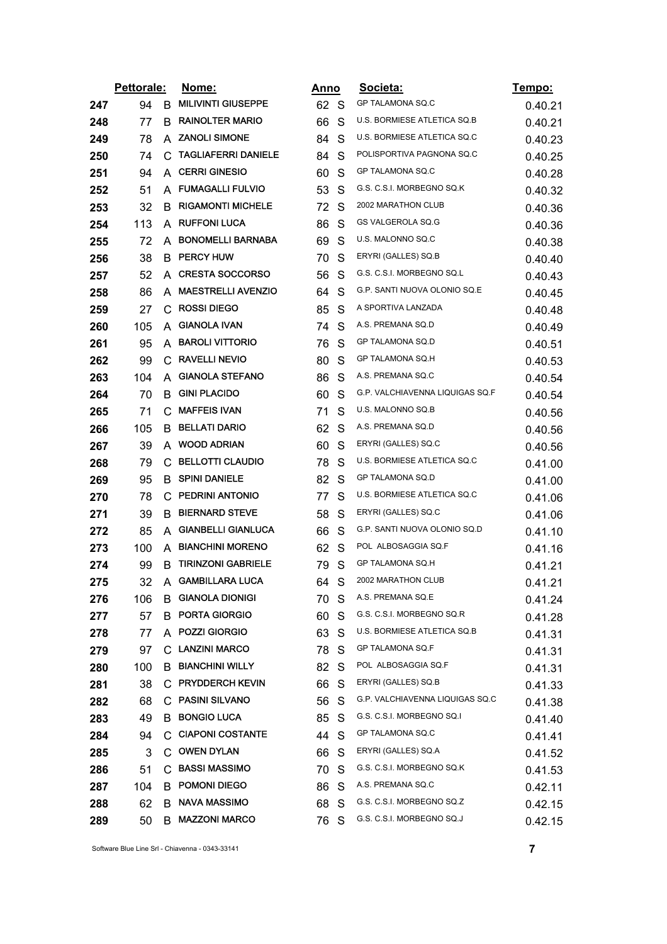|     | Pettorale: |    | <u>Nome:</u>               | Anno |   | Societa:                        | <u>Tempo:</u> |
|-----|------------|----|----------------------------|------|---|---------------------------------|---------------|
| 247 | 94         | B  | <b>MILIVINTI GIUSEPPE</b>  | 62   | S | GP TALAMONA SQ.C                | 0.40.21       |
| 248 | 77         | B  | <b>RAINOLTER MARIO</b>     | 66   | S | U.S. BORMIESE ATLETICA SQ.B     | 0.40.21       |
| 249 | 78         | A  | <b>ZANOLI SIMONE</b>       | 84   | S | U.S. BORMIESE ATLETICA SQ.C     | 0.40.23       |
| 250 | 74         | С  | <b>TAGLIAFERRI DANIELE</b> | 84   | S | POLISPORTIVA PAGNONA SQ.C       | 0.40.25       |
| 251 | 94         |    | A CERRI GINESIO            | 60   | S | GP TALAMONA SQ.C                | 0.40.28       |
| 252 | 51         | A  | <b>FUMAGALLI FULVIO</b>    | 53   | S | G.S. C.S.I. MORBEGNO SQ.K       | 0.40.32       |
| 253 | 32         | B  | <b>RIGAMONTI MICHELE</b>   | 72   | S | 2002 MARATHON CLUB              | 0.40.36       |
| 254 | 113        | A  | <b>RUFFONI LUCA</b>        | 86   | S | GS VALGEROLA SQ.G               | 0.40.36       |
| 255 | 72         | A  | <b>BONOMELLI BARNABA</b>   | 69   | S | U.S. MALONNO SQ.C               | 0.40.38       |
| 256 | 38         | В  | <b>PERCY HUW</b>           | 70   | S | ERYRI (GALLES) SQ.B             | 0.40.40       |
| 257 | 52         | A  | <b>CRESTA SOCCORSO</b>     | 56   | S | G.S. C.S.I. MORBEGNO SQ.L       | 0.40.43       |
| 258 | 86         | A  | <b>MAESTRELLI AVENZIO</b>  | 64   | S | G.P. SANTI NUOVA OLONIO SQ.E    | 0.40.45       |
| 259 | 27         | C  | <b>ROSSI DIEGO</b>         | 85   | S | A SPORTIVA LANZADA              | 0.40.48       |
| 260 | 105        | A  | <b>GIANOLA IVAN</b>        | 74   | S | A.S. PREMANA SQ.D               | 0.40.49       |
| 261 | 95         | A  | <b>BAROLI VITTORIO</b>     | 76   | S | GP TALAMONA SQ.D                | 0.40.51       |
| 262 | 99         |    | C RAVELLI NEVIO            | 80   | S | GP TALAMONA SQ.H                | 0.40.53       |
| 263 | 104        | A  | <b>GIANOLA STEFANO</b>     | 86   | S | A.S. PREMANA SQ.C               | 0.40.54       |
| 264 | 70         | B  | <b>GINI PLACIDO</b>        | 60   | S | G.P. VALCHIAVENNA LIQUIGAS SQ.F | 0.40.54       |
| 265 | 71         | С  | <b>MAFFEIS IVAN</b>        | 71   | S | U.S. MALONNO SQ.B               | 0.40.56       |
| 266 | 105        | B  | <b>BELLATI DARIO</b>       | 62   | S | A.S. PREMANA SQ.D               | 0.40.56       |
| 267 | 39         | A  | <b>WOOD ADRIAN</b>         | 60   | S | ERYRI (GALLES) SQ.C             | 0.40.56       |
| 268 | 79         | С  | <b>BELLOTTI CLAUDIO</b>    | 78   | S | U.S. BORMIESE ATLETICA SQ.C     | 0.41.00       |
| 269 | 95         |    | <b>B</b> SPINI DANIELE     | 82   | S | GP TALAMONA SQ.D                | 0.41.00       |
| 270 | 78         | С  | PEDRINI ANTONIO            | 77   | S | U.S. BORMIESE ATLETICA SQ.C     | 0.41.06       |
| 271 | 39         | B. | <b>BIERNARD STEVE</b>      | 58   | S | ERYRI (GALLES) SQ.C             | 0.41.06       |
| 272 | 85         | A  | <b>GIANBELLI GIANLUCA</b>  | 66   | S | G.P. SANTI NUOVA OLONIO SQ.D    | 0.41.10       |
| 273 | 100        | A  | <b>BIANCHINI MORENO</b>    | 62   | S | POL ALBOSAGGIA SQ.F             | 0.41.16       |
| 274 | 99         | B  | <b>TIRINZONI GABRIELE</b>  | 79   | S | <b>GP TALAMONA SQ.H</b>         | 0.41.21       |
| 275 | 32         | A  | <b>GAMBILLARA LUCA</b>     | 64   | S | 2002 MARATHON CLUB              | 0.41.21       |
| 276 | 106        | В  | <b>GIANOLA DIONIGI</b>     | 70.  | S | A.S. PREMANA SQ.E               | 0.41.24       |
| 277 | 57         | в  | <b>PORTA GIORGIO</b>       | 60   | S | G.S. C.S.I. MORBEGNO SQ.R       | 0.41.28       |
| 278 | 77         |    | A POZZI GIORGIO            | 63   | S | U.S. BORMIESE ATLETICA SQ.B     | 0.41.31       |
| 279 | 97         |    | C LANZINI MARCO            | 78.  | S | GP TALAMONA SQ.F                | 0.41.31       |
| 280 | 100        | В  | <b>BIANCHINI WILLY</b>     | 82   | S | POL ALBOSAGGIA SQ.F             | 0.41.31       |
| 281 | 38         | C. | <b>PRYDDERCH KEVIN</b>     | 66   | S | ERYRI (GALLES) SQ.B             | 0.41.33       |
| 282 | 68         |    | C PASINI SILVANO           | 56   | S | G.P. VALCHIAVENNA LIQUIGAS SQ.C | 0.41.38       |
| 283 | 49         | В  | <b>BONGIO LUCA</b>         | 85   | S | G.S. C.S.I. MORBEGNO SQ.I       | 0.41.40       |
| 284 | 94         |    | C CIAPONI COSTANTE         | 44   | S | GP TALAMONA SQ.C                | 0.41.41       |
| 285 | 3          | C. | <b>OWEN DYLAN</b>          | 66   | S | ERYRI (GALLES) SQ.A             | 0.41.52       |
| 286 | 51         |    | C BASSI MASSIMO            | 70   | S | G.S. C.S.I. MORBEGNO SQ.K       | 0.41.53       |
| 287 | 104        | В  | <b>POMONI DIEGO</b>        | 86   | S | A.S. PREMANA SQ.C               | 0.42.11       |
| 288 | 62         | B. | <b>NAVA MASSIMO</b>        | 68   | S | G.S. C.S.I. MORBEGNO SQ.Z       | 0.42.15       |
| 289 | 50         | B  | <b>MAZZONI MARCO</b>       | 76   | S | G.S. C.S.I. MORBEGNO SQ.J       | 0.42.15       |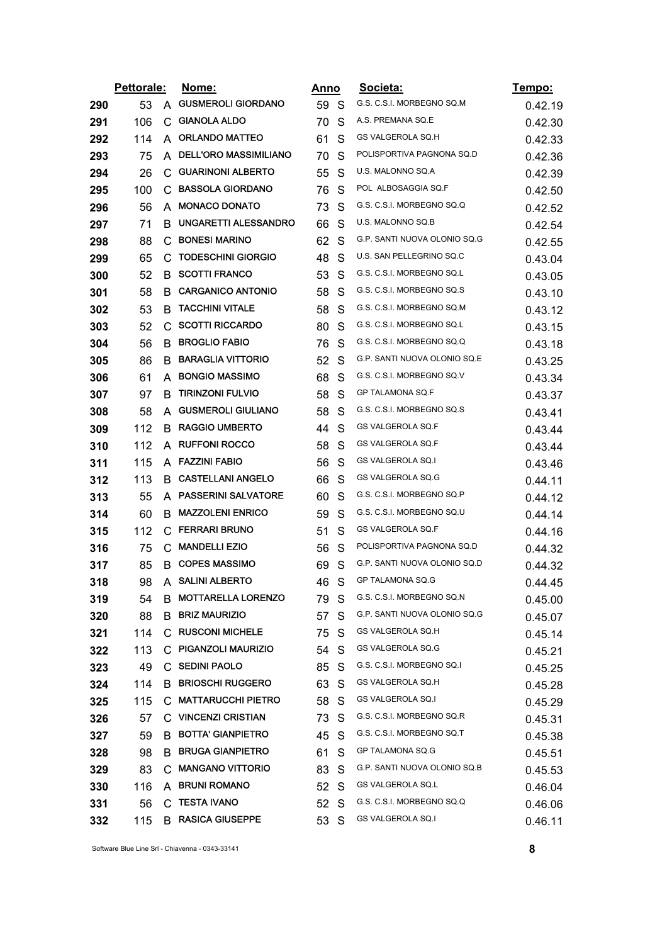|     | Pettorale: |              | Nome:                        |      | <u>Anno</u>  | Societa:                     | Tempo:  |
|-----|------------|--------------|------------------------------|------|--------------|------------------------------|---------|
| 290 | 53         | A            | <b>GUSMEROLI GIORDANO</b>    | 59 S |              | G.S. C.S.I. MORBEGNO SQ.M    | 0.42.19 |
| 291 | 106        | С            | <b>GIANOLA ALDO</b>          | 70   | S            | A.S. PREMANA SQ.E            | 0.42.30 |
| 292 | 114        | A            | <b>ORLANDO MATTEO</b>        | 61   | S            | GS VALGEROLA SQ.H            | 0.42.33 |
| 293 | 75         | A            | <b>DELL'ORO MASSIMILIANO</b> | 70   | S            | POLISPORTIVA PAGNONA SQ.D    | 0.42.36 |
| 294 | 26         | C            | <b>GUARINONI ALBERTO</b>     | 55   | S            | U.S. MALONNO SQ.A            | 0.42.39 |
| 295 | 100        | $\mathbf{C}$ | <b>BASSOLA GIORDANO</b>      | 76   | S            | POL ALBOSAGGIA SQ.F          | 0.42.50 |
| 296 | 56         | A            | <b>MONACO DONATO</b>         | 73   | S            | G.S. C.S.I. MORBEGNO SQ.Q    | 0.42.52 |
| 297 | 71         | в            | UNGARETTI ALESSANDRO         | 66   | S            | U.S. MALONNO SQ.B            | 0.42.54 |
| 298 | 88         | C            | <b>BONESI MARINO</b>         | 62   | S            | G.P. SANTI NUOVA OLONIO SQ.G | 0.42.55 |
| 299 | 65         | C.           | <b>TODESCHINI GIORGIO</b>    | 48   | S            | U.S. SAN PELLEGRINO SQ.C     | 0.43.04 |
| 300 | 52         | B            | <b>SCOTTI FRANCO</b>         | 53   | S            | G.S. C.S.I. MORBEGNO SQ.L    | 0.43.05 |
| 301 | 58         | в            | <b>CARGANICO ANTONIO</b>     | 58   | S            | G.S. C.S.I. MORBEGNO SQ.S    | 0.43.10 |
| 302 | 53         | B            | <b>TACCHINI VITALE</b>       | 58   | S            | G.S. C.S.I. MORBEGNO SQ.M    | 0.43.12 |
| 303 | 52         | $\mathbf{C}$ | <b>SCOTTI RICCARDO</b>       | 80   | S            | G.S. C.S.I. MORBEGNO SQ.L    | 0.43.15 |
| 304 | 56         | B            | <b>BROGLIO FABIO</b>         | 76   | S            | G.S. C.S.I. MORBEGNO SQ.Q    | 0.43.18 |
| 305 | 86         | B.           | <b>BARAGLIA VITTORIO</b>     | 52   | S            | G.P. SANTI NUOVA OLONIO SQ.E | 0.43.25 |
| 306 | 61         | A            | <b>BONGIO MASSIMO</b>        | 68   | S            | G.S. C.S.I. MORBEGNO SQ.V    | 0.43.34 |
| 307 | 97         | B            | <b>TIRINZONI FULVIO</b>      | 58   | S            | <b>GP TALAMONA SQ.F</b>      | 0.43.37 |
| 308 | 58         | A            | <b>GUSMEROLI GIULIANO</b>    | 58   | S            | G.S. C.S.I. MORBEGNO SQ.S    | 0.43.41 |
| 309 | 112        | в            | <b>RAGGIO UMBERTO</b>        | 44   | S            | GS VALGEROLA SQ.F            | 0.43.44 |
| 310 | 112        | A            | <b>RUFFONI ROCCO</b>         | 58   | S            | GS VALGEROLA SQ.F            | 0.43.44 |
| 311 | 115        | A            | <b>FAZZINI FABIO</b>         | 56   | S            | GS VALGEROLA SQ.I            | 0.43.46 |
| 312 | 113        | B            | <b>CASTELLANI ANGELO</b>     | 66   | S            | GS VALGEROLA SQ.G            | 0.44.11 |
| 313 | 55         | A            | <b>PASSERINI SALVATORE</b>   | 60   | S            | G.S. C.S.I. MORBEGNO SQ.P    | 0.44.12 |
| 314 | 60         | в            | <b>MAZZOLENI ENRICO</b>      | 59   | S            | G.S. C.S.I. MORBEGNO SQ.U    | 0.44.14 |
| 315 | 112        | C            | <b>FERRARI BRUNO</b>         | 51   | S            | GS VALGEROLA SQ.F            | 0.44.16 |
| 316 | 75         | C.           | <b>MANDELLI EZIO</b>         | 56   | S            | POLISPORTIVA PAGNONA SQ.D    | 0.44.32 |
| 317 | 85         | B            | <b>COPES MASSIMO</b>         | 69   | S            | G.P. SANTI NUOVA OLONIO SQ.D | 0.44.32 |
| 318 | 98         | A.           | <b>SALINI ALBERTO</b>        | 46   | S            | GP TALAMONA SQ.G             | 0.44.45 |
| 319 | 54         | B            | <b>MOTTARELLA LORENZO</b>    | 79.  | S            | G.S. C.S.I. MORBEGNO SQ.N    | 0.45.00 |
| 320 | 88         | B.           | <b>BRIZ MAURIZIO</b>         | 57   | S            | G.P. SANTI NUOVA OLONIO SQ.G | 0.45.07 |
| 321 | 114        |              | C RUSCONI MICHELE            | 75   | S.           | GS VALGEROLA SQ.H            | 0.45.14 |
| 322 | 113        |              | C PIGANZOLI MAURIZIO         | 54 S |              | GS VALGEROLA SQ.G            | 0.45.21 |
| 323 | 49         |              | C SEDINI PAOLO               | 85   | S            | G.S. C.S.I. MORBEGNO SQ.I    | 0.45.25 |
| 324 | 114        |              | <b>B BRIOSCHI RUGGERO</b>    | 63   | S            | GS VALGEROLA SQ.H            | 0.45.28 |
| 325 | 115        |              | C MATTARUCCHI PIETRO         | 58   | S.           | GS VALGEROLA SQ.I            | 0.45.29 |
| 326 | 57         |              | C VINCENZI CRISTIAN          | 73 S |              | G.S. C.S.I. MORBEGNO SQ.R    | 0.45.31 |
| 327 | 59         |              | B BOTTA' GIANPIETRO          | 45   | <sub>S</sub> | G.S. C.S.I. MORBEGNO SQ.T    | 0.45.38 |
| 328 | 98         | B.           | <b>BRUGA GIANPIETRO</b>      | 61   | S            | GP TALAMONA SQ.G             | 0.45.51 |
| 329 | 83         |              | C MANGANO VITTORIO           | 83   | S            | G.P. SANTI NUOVA OLONIO SQ.B | 0.45.53 |
| 330 | 116        |              | A BRUNI ROMANO               | 52 S |              | <b>GS VALGEROLA SQ.L</b>     | 0.46.04 |
| 331 | 56         |              | C TESTA IVANO                | 52   | <sub>S</sub> | G.S. C.S.I. MORBEGNO SQ.Q    | 0.46.06 |
| 332 | 115        |              | <b>B</b> RASICA GIUSEPPE     | 53   | S            | GS VALGEROLA SQ.I            |         |
|     |            |              |                              |      |              |                              | 0.46.11 |